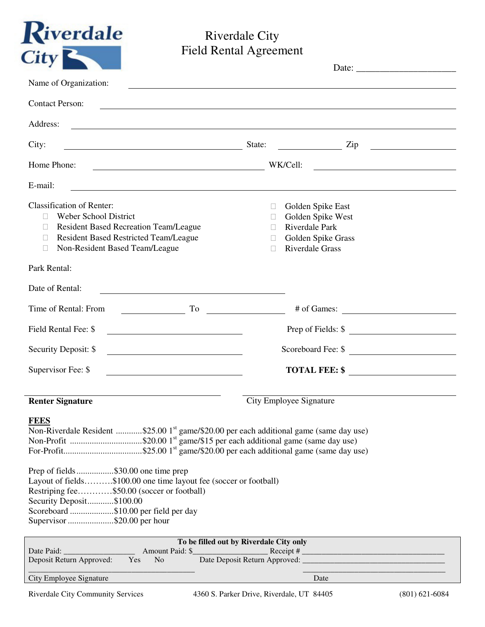

## Riverdale City Field Rental Agreement

| Name of Organization:                                                                                                                                                                                                                                                                                                                                                           |                                                                                                                                                                                                                                      |
|---------------------------------------------------------------------------------------------------------------------------------------------------------------------------------------------------------------------------------------------------------------------------------------------------------------------------------------------------------------------------------|--------------------------------------------------------------------------------------------------------------------------------------------------------------------------------------------------------------------------------------|
| <b>Contact Person:</b>                                                                                                                                                                                                                                                                                                                                                          | and the control of the control of the control of the control of the control of the control of the control of the                                                                                                                     |
| Address:<br><u> 1989 - Johann Stoff, deutscher Stoff, der Stoff, der Stoff, der Stoff, der Stoff, der Stoff, der Stoff, der S</u>                                                                                                                                                                                                                                               |                                                                                                                                                                                                                                      |
| City:<br><u> 1989 - Johann Barn, fransk politik (d. 1989)</u>                                                                                                                                                                                                                                                                                                                   | State:<br>$\frac{1}{\sqrt{2}}$ Zip                                                                                                                                                                                                   |
| Home Phone:<br><u> 1989 - Johann Barnett, fransk politiker (</u>                                                                                                                                                                                                                                                                                                                | WK/Cell:<br><u> 1989 - Johann Barn, mars and de Branch Barn, mars and de Branch Barn, mars and de Branch Barn, mars and de Br</u>                                                                                                    |
| E-mail:                                                                                                                                                                                                                                                                                                                                                                         | <u> 1989 - Johann Stoff, amerikansk politiker (d. 1989)</u>                                                                                                                                                                          |
| <b>Classification of Renter:</b><br>Weber School District<br><b>Resident Based Recreation Team/League</b><br><b>Resident Based Restricted Team/League</b><br>Non-Resident Based Team/League                                                                                                                                                                                     | Golden Spike East<br>Golden Spike West<br>Riverdale Park<br>Golden Spike Grass<br><b>Riverdale Grass</b>                                                                                                                             |
| Park Rental:                                                                                                                                                                                                                                                                                                                                                                    |                                                                                                                                                                                                                                      |
| Date of Rental:                                                                                                                                                                                                                                                                                                                                                                 |                                                                                                                                                                                                                                      |
| Time of Rental: From<br>To                                                                                                                                                                                                                                                                                                                                                      | <u>and the community of the community of the community of the community of the community of the community of the community of the community of the community of the community of the community of the community of the community</u> |
| Field Rental Fee: \$                                                                                                                                                                                                                                                                                                                                                            | Prep of Fields: \$                                                                                                                                                                                                                   |
| Security Deposit: \$<br><u> 1980 - Andrea Andrew Maria (h. 1980).</u>                                                                                                                                                                                                                                                                                                           | Scoreboard Fee: \$                                                                                                                                                                                                                   |
| Supervisor Fee: \$                                                                                                                                                                                                                                                                                                                                                              | TOTAL FEE: \$                                                                                                                                                                                                                        |
| <b>Renter Signature</b>                                                                                                                                                                                                                                                                                                                                                         | City Employee Signature                                                                                                                                                                                                              |
| <b>FEES</b><br>Non-Riverdale Resident \$25.00 1 <sup>st</sup> game/\$20.00 per each additional game (same day use)<br>Prep of fields\$30.00 one time prep<br>Layout of fields\$100.00 one time layout fee (soccer or football)<br>Restriping fee\$50.00 (soccer or football)<br>Security Deposit\$100.00<br>Scoreboard \$10.00 per field per day<br>Supervisor \$20.00 per hour |                                                                                                                                                                                                                                      |
|                                                                                                                                                                                                                                                                                                                                                                                 | To be filled out by Riverdale City only                                                                                                                                                                                              |
| Date Paid:<br>Amount Paid: \$<br>Deposit Return Approved:<br>Yes<br>N <sub>o</sub>                                                                                                                                                                                                                                                                                              | Date Deposit Return Approved: _________                                                                                                                                                                                              |

\_\_\_\_\_\_\_\_\_\_\_\_\_\_\_\_\_\_\_\_\_\_\_\_\_\_\_\_\_\_\_\_\_\_\_\_\_\_\_\_\_\_ \_\_\_\_\_\_\_\_\_\_\_\_\_\_\_\_\_\_\_\_\_\_\_\_\_\_\_\_\_\_\_\_\_\_\_\_

City Employee Signature Date